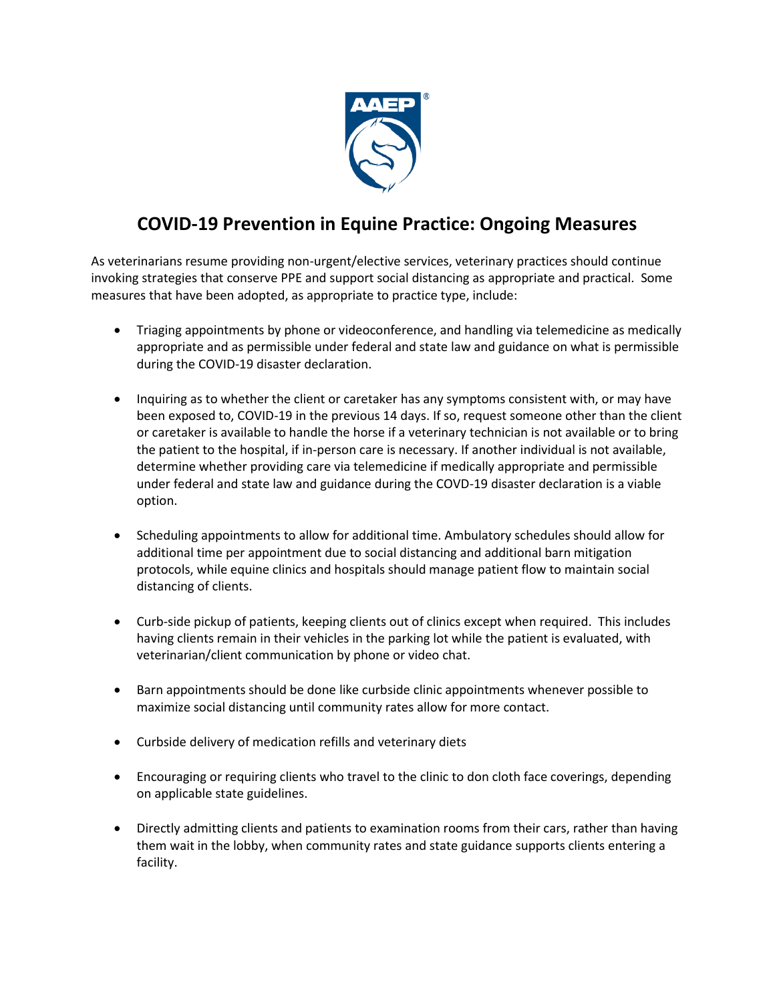

## **COVID-19 Prevention in Equine Practice: Ongoing Measures**

As veterinarians resume providing non-urgent/elective services, veterinary practices should continue invoking strategies that conserve PPE and support social distancing as appropriate and practical. Some measures that have been adopted, as appropriate to practice type, include:

- Triaging appointments by phone or videoconference, and handling via telemedicine as medically appropriate and as permissible under federal and state law and guidance on what is permissible during the COVID-19 disaster declaration.
- Inquiring as to whether the client or caretaker has any symptoms consistent with, or may have been exposed to, COVID-19 in the previous 14 days. If so, request someone other than the client or caretaker is available to handle the horse if a veterinary technician is not available or to bring the patient to the hospital, if in-person care is necessary. If another individual is not available, determine whether providing care via telemedicine if medically appropriate and permissible under federal and state law and guidance during the COVD-19 disaster declaration is a viable option.
- Scheduling appointments to allow for additional time. Ambulatory schedules should allow for additional time per appointment due to social distancing and additional barn mitigation protocols, while equine clinics and hospitals should manage patient flow to maintain social distancing of clients.
- Curb-side pickup of patients, keeping clients out of clinics except when required. This includes having clients remain in their vehicles in the parking lot while the patient is evaluated, with veterinarian/client communication by phone or video chat.
- Barn appointments should be done like curbside clinic appointments whenever possible to maximize social distancing until community rates allow for more contact.
- Curbside delivery of medication refills and veterinary diets
- Encouraging or requiring clients who travel to the clinic to don cloth face coverings, depending on applicable state guidelines.
- Directly admitting clients and patients to examination rooms from their cars, rather than having them wait in the lobby, when community rates and state guidance supports clients entering a facility.